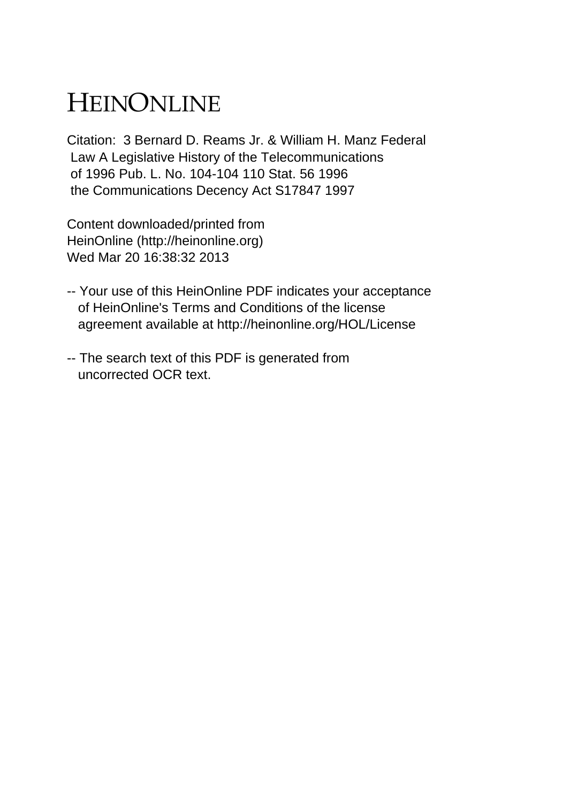# HEINONLINE

Citation: 3 Bernard D. Reams Jr. & William H. Manz Federal Law A Legislative History of the Telecommunications of 1996 Pub. L. No. 104-104 110 Stat. 56 1996 the Communications Decency Act S17847 1997

Content downloaded/printed from HeinOnline (http://heinonline.org) Wed Mar 20 16:38:32 2013

- -- Your use of this HeinOnline PDF indicates your acceptance of HeinOnline's Terms and Conditions of the license agreement available at http://heinonline.org/HOL/License
- -- The search text of this PDF is generated from uncorrected OCR text.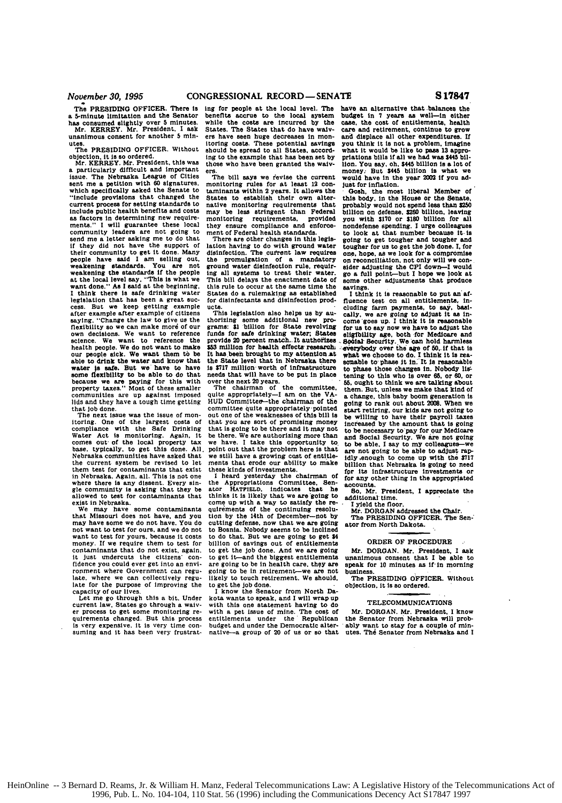**The** PRESIDING OFFICER. **There Is** a 5-minute limitation and the Senator has consumed slightly over **5** minutes. Mr. KERREY. Mr. President. **I** ask

unanimous consent for another **5** minutes.

The PRESIDING OFFICER. Without

objection, it **is** so ordered. Mr. KERREY. Mr. President. this was a particularly difficult and important issue. The Nebraska League of Cities sent me **a** petition with **60** signatures. which specifically asked the Senate to "include provisions that changed the current process for setting standards to include public health benefits and costs as factors in determining new require-ments." **I** will guarantee these local community leaders are not going to send me a letter asking me to do that if they did not have the support of their community to get it done. Many people have said I am selling out,<br>weakening standards. You are not<br>weakening the standards if the people<br>at the local level say, "This is what we want done." As I said at the beginning,<br>I think there is safe drinking water I think there Is safe drinking water cess. But we keep getting example after example after example of citizens saying. "Change the law to give us the flexibility so we can make more of our<br>own decisions. We want to reference the<br>health people. We do not want to make<br>bealth people sick. We want them to be<br>hole to drink the water and know that water **Is** safe. But we have to have some flexibility to be able to do that because we are paying for this with property taxes." Most of these smaller communities **are** up against Imposed bids and they have a tough time getting<br>that iob done.

that Job done. The next issue was the issue of monitoring. One of the largest costs of compliance with the Safe Drinking Water Act **is** monitoring. Again, it comes out, of the local property tax base, typically, to get this done. All Nebraska communities have asked that the current system be revised to let them test for contaminants that exist<br>in Nebraska. Again, all. This is not one<br>where there is any dissent. Every sin-<br>gle community is asking that they be<br>allowed to test for contaminants that

exist in Nebraska. We may have some contaminants that Missouri does not have, and you may have some we do not have. You do want to test for ours, and we do not want to test for yours, because it costs money. **If** we require them to test for contaminants that do not exist, again. just undercuts the citizens' confidence you could ever get into an environment where Government can regu-<br>late. where we can collectively regu-<br>late for the purpose of improving the

capacity of our lives. Let me go through this a bit. Under current law, States go through a waiver process to get some monitoring requirements changed. But this process is very expensive, it is very time con-suming and it has been very frustrat-

**lng** for people at the local level. The benefits accrue to the local system while the costs are incurred **by** the States. The States that do have waivers have seen huge decreases in mon- itoring costs. These potential savings should be spread to all States, according to the example that has been set **by** those who have been granted the waiv-

ers. The bill says we fevise the current monitoring rules for at least 12 con-taminants within 2 years. It allows the States to establish their own alternative monitoring requirements that may be less stringent than Federal monitoring requirements. provided they ensure compliance and enforcement of Federal health standards. There are other changes in this **legis-**

lation having to do with ground water disinfection. The **cufrent** law requires the promulgation of a mandatory ground water disinfeotion rule, requiring **all** systems to treat their water. This bill delays the enactment date of this rule to occur at the same time the States do **a** rulemaking as established for disinfectants and disinfection products.

This legislation also helps us **by** authorizing some additional new pro- grams: **S1** billion for State revolving funds for safe drinking water; States provide **20** percent match., It authorizes \$53 million for health effects research. It has been brought to my attention at the State level that in Nebraska there is **\$717** million worth of Infrastructure needs that will have to be put in place over the next 20 years. The chairman of the committee,

quite appropriately-I am on the VA- **HUD** Committes-the chairman of the committee quite appropriately pointed out one of the weaknesses of this bill is that you are sort of promising money that is going to be there and it may not be there. We are authorizing more than we have. **I** take this opportunity to. point out that the problem here is that we still have a growing cost of entitlements that erode our ability to make

these kinds of investments. **I** heard yesterday the chairman of the Appropriations Committee, Sen- ator HATFIELD. indicates that he thinks it **is** likely that we are going to come up with a way to satisfy the re-quirements of the continuing resolu-tion **by** the 14th of December-not **by** cutting defense, now that we are going to Bosnia. Nobody seems to be inclined to do that. But we are going to get **84** billion of savings out of entitlements to get the job done. And we are going to get it-and the biggest entitlements are going to be in health care, they are going to be in retirement--we are not likely to touch retirement. We should,

to get the job done.<br>I know the Senator from North Da-<br>kota wants to speak, and I will wrap up with this one statement having to do with a pet issue **of** mine. The cost of entitlements under the Republican budget and under the Democratic alter- native-a group of 20 of us or so that

have an alternative that balances the budget in **7** years as well-in either **case.** the cost of entitlements, health care and retirement, continue to grow and displace all other expenditures. **If** you think it is not a problem. imagine what it would be **like** to pass **13** appro-priations bills **if** all we had was **\$445** bil-lion. You say, **oh, \$445** billion is a lot of money, But \$445 billion is what we would have in the year **2002 if** you ad-

Gosh, the most liberal Member of this body, in the House or the Senate, probably would not spend less than **\$250** billion on defense. **S260** billion, leaving you with **2170** or **\$180** billion **for** all nondefense spending. I urge colleagues to **look** at that number because It **is** going to get tougher and tougher and tougher for us to get the job done. **I,** for one, hope, as we look for a compromise on reconciliation, not only will we consider adjusting the **CPI** down-I would go a full point-but **I** hope we **look** at some other adjustments that produce savings.

I think it **is** reasonable to put an affluence test on all entitlements, including farm payments, to say, basically, we are going to adjust it as income goes up. I think it is reasonable<br>for us to say now we have to adjust the eligibility age, both for Medicare and<br>eligibility age, both for Medic what we choose to do. I think it is rea-sonable to phase it in. It is reasonable to phase those changes **in.** Nobody **ll-**tening to this who Is over **65,** or **60,** or **55.** ought to think we are talking about them. But, unless we make that kind **of <sup>a</sup>**change, this baby boom generation is going to rank out about 2008. When we start retiring, our kids are not going to be willing to have their payroll taxes increased **by** the amount that is going to be necessary to pay for our Medicare<br>and Social Security. We are not going to be able. I say to my colleagues-we are not going to be able to adjust rapare not going to be able to adjust rap- idly enough to come up with the **\$717** billion that Nebraska is going to need for its infrastructure investments or<br>for any other thing in the appropriated for any other thing in the appropriated accounts. So. Mr. President, **I** appreciate the

additional time. **<sup>I</sup>**yield the floor.

**Mr. DORGAN** addressed the Chair. The PRESIDING OFFICER. The Senator from North Dakota.

## ORDER OF PROCEDURE

Mr. **DORGAN.** Mr. President, **I** ask unanimous consent that **I** be able to speak for **10** minutes as if-in morning business.

The PRESIDING OFFICER. Without objection, it is so ordered.

### **TELECOMMUNICATIONS**

Mr. **DORGAN.** Mr. President, I know the Senator from Nebraska will probably want to stay for a couple of minutes. The Senator from Nebraska and I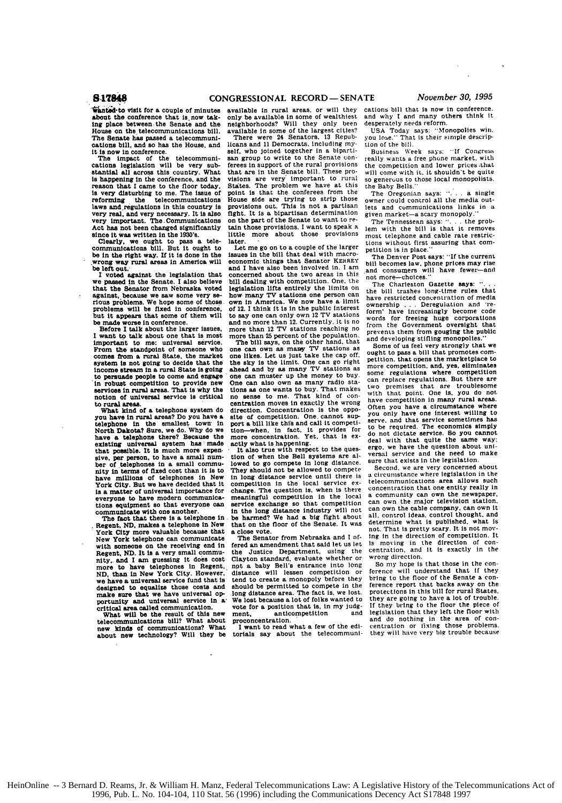The impact of the telecommuni-cations legislation will be very sub-stantial **all** across this country. What **Is** happening In the conference, and the reason that I came to the floor today, is very disturbing to me. The issue of<br>reforming the telecommunications reforming the laws and regulations in this country is very real, and very necessary. It is also very important. The. Communications Act has not been **changed** significantly

since it was written in the 1930's.<br>Clearly, we ought to pass a tele-<br>communications bill. But it ought to<br>be in the right way. If it is done in the wrong way rural areas in America will be left out.

I voted against **the** legislation that we passed in the Senate. **I** also believe that the Senator from Nebraska voted against, because we saw some very **se-rious** problems. We hope some of those problems will be fixed in conference, but It appears that some of them will be made worse in conference. Before **I** talk about the larger issues,

I want to talk about one that is most important to me: universal service. From the standpoint of someone who comes from a rural State, the market system **is** not going to decide that the income stream in a rural State is going to persuade people to come and engage In robust competition to provide new services in rural areas. That **is** why the notion of universal service **is** critical

to rural areas. What **kind** of **a** telephone system **do** you have in rural areas? **Do** you have **a** telephone in the smallest town" in North Dakota? Sure. we do. **Why do** we have **a** telephone there? Because the existing universal system has made that possible. It is much more expensive, per person, to have a small num-ber of telephones in **a** small **commu**nity in terms of fixed cost than it **is** to have millions of telephones in New York City. But we have decided that it is a matter of universal importance for everyone to have modern communications equipment so that everyone can communicate with one another. The fact that there **is** a telephone in

Regent, **ND.** makes **a** telephone in New York City more valuable because that New York telephone can communicate with someone on the receiving end in Regent. **ND.** It **is** a very small community,. and **I** am guessing it does cost to have telephones in Regent, **ND.** than in New York City. However. we have a universal service fund that is designed to equalize those costs and make sure that we have universal **op-**

nortunity and universal service in a<br>critical area called communication.<br>What will be the result of this new<br>telecommunications bill? What about<br>new kinds of communications? What<br>about new technology? Will they be

available in rural areas, or will they only be available in some of wealthiest neighborhoods? Will they only been available in some of the largest cities? There were 24 Senators. 13 Repub-

licans and **11** Democrats, including myelf, who joined together in a biparti**san** group to write to the Senate conferees in support of the rural provisions that are in the Senate bill. These provisions are very important to rural<br>States. The problem we have at this point is that the conferees from the House side are trying to strip those provisions out. This is not a partisan fight. It is a bipartisan determination **on** the part **of** the Senate to want to retain those provisions. **I** want to speak a little more about those provisions<br>later.

**Let me go on to a couple of the larger** issues in the **bill** that deal with macroeconomic things that Senator KERREY and **I** have also been involved in. **I** am concerned about the two areas in this **bill** dealing with competition. One. the legislation lifts entirely the limits on how many TV stations one person can own in America. We now have a limit of 12. I think it is in the public interest to say one can only own 12 TV stations and no more than 12. Currently, it is no more than 12 TV stations reaching no more than **25** percent **of** the population.

The bill says, on the other hand, that one can own as many TV stations as one likes. Let us just take the cap off. the sky Is the limit. One can go right ahead and **by** as many TV stations as one can muster up the money to buy. One can also own as many radio stations as one wants to buy. That makes no sense to me. That kind of conno sense to me. That kind of concentration moves in exactly the wrong direction. Concentration is the opposite of competition. One cannot support a **bill** like this and call it competition-when, in fact, it provides for more concentration. Yet, that is ex-

move concommentation. It also true with respect to the ques-<br>It also true with respect to the ques-<br>tion of when the Bell systems are allowed to go compete in long distance. They should not be allowed to compete in long distance service until there is competition in the local service **ex**change. The question is, when is there meaningful competition in the local service exchange so that in the long distance industry will not be harmed? We **had** a big fight about that on the floor of the Senate. It was a close vote.

The Senator from Nebraska and I **of**fered an amendment that said let us let the Justice Department, using the Clayton standard, evaluate whether or **not** a baby Bell's entrance into long distance will lessen competition or tend to create **a** monopoly before they should be permitted to compete in the<br>long distance area. The fact is, we lost. We lost because a lot of folks wanted to vote for a position that **is.** in my judgment, anticompetition

proconcentration. I want to read what a few of the editorials say about the telecommuni-

cations bill that is now in conference. and why I and many others think it desperately needs reform.

USA Today says: "Monopolies win.<br>you lose." That is their simple description of the **bill.**

Business Week says: -If Congress really wants a free phone market, with the competition and lower prices that will come with it, it shouldn't be quite will come with it, it shouldn't be quite<br>so generous to those local monopolists.<br>the Baby Bells.''

The Oregonian says: ". owner could control all the media out-lets and communications links in a given market-a scary monopoly.

The Tennessean says: **"...** the prob-lem with the bill is that it removes most telephone and cable rate restrictions without first assuring that com $p$ etition is in place.

The Denver Post says: "If the current bill becomes law. phone prices may rise and consumers will have fewer-and not more-choices."

The Charleston Gazette says: " the bill trashes long-time rules that have restricted concentration of media ownership **...** Deregulation and 're-form' have increasingly become code words for freeing huge corporations from the Government oversight that prevents them from gouging the public and developing stifling monopolies.

Some of us feel very strongly that we ought to pass **a** bill that promotes com-petition, that opens the marketplace to petition, that opens the marketplace to<br>more competition, and, yes, eliminates<br>some regulations where competition<br>can replace regulations. But there are two premises that are troublesome with that point. One is, **you** do not. have competition in many rural areas. Often you have a circumstance where you only have one interest willing to serve, and that service sometimes *has* to be required. The economics simply do not dictate service. So you cannot deal with that quite the same way: ergo, we have the question about **uni-**versal service and the need to make sure that exists in the legislation.

Second. we are very concerned about a circurnstance where legislation in the telecommunications area allows such concentration that one entity really in a community can own the newspaper, can own the major television station. can own the cable company, can own it all. control ideas, control thought, and determine what is published, what is not. That **is** pretty scary. It is not mov-Ing In the direction of competition. It ing in the direction of competition, it<br>is moving in the direction of con-<br>centration, and it is exactly in the wrong direction.

So my hope is that those in the conference will understand that **If** they bring to the floor of the Senate a conference report that backs away on the protections in this bill for rural States. they are going to have a lot of trouble. If they bring to the floor the piece of legislation that they left the floor with and do nothing in the area of concentratlon or fixing those problems, they will have very big trouble because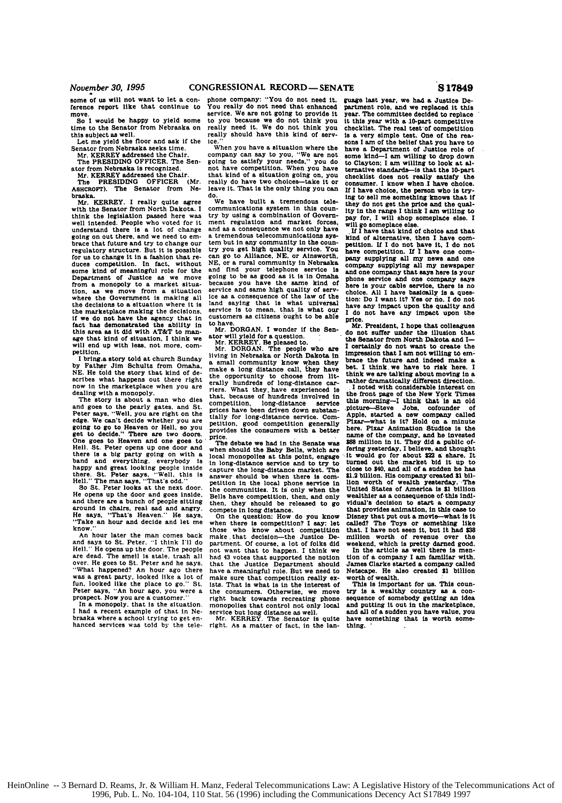some of us will not want to let a conference report like that continue to move.

So **I** would be happy to yield some time to the Senator from Nebraska on

this subject as well. Let me yield the floor and ask **if** the Senator from Nebraska seeks time.

Mr. KERREY addressed the Chair. The PRESIDING OFFICER. The Sen-

ator from Nebraska **is** recognized. Mr. KERREY addressed the Chair.

The PRESIDING OFFICER (Mr. ASHCRorr). The Senator from Ne-

braska. Mr. KERREY. I really quite agree with the Senator from North Dakota. **I** think the legislation passed here was well intended. People who voted for it understand there is a lot **of** change going on Out there, and we need to em-brace that future and try to change our regulatory structure. But it **is** possible for us to change it in a fashion that re- duces competition. In fact, without some kind **of** meaningful role for the Department of Justice as we move from a monopoly to a market situa- tion, as we move from a situation where the Government **is** making all the decisions to a situation where it is<br>the marketplace making the decisions. the marketplace making the decisions.<br>If we do not have the agency that in<br>fact has demonstrated the ability in<br>this area as it did with AT&T to man-<br>age that kind of situation, I think we<br>will end up with less, not more, petition.

I bringa story told at church Sunday **by** Father Jim Schultz from Omaha, **NE.** He told the story that kind of describes what happens out there right now in the marketplace when you are dealing with a monopoly. The story **Is** about a man who dies

and goes to the pearly gates, and St.<br>Peter says, "Well, you are right on the edge. We can't decide whether you are going to go to Heaven or Hell, so you get to decide." There are two doors.<br>One goes to Heaven and one goes to<br>Hell. St. Peter opens up one door and<br>there is a big party going on with a<br>band and everything, everybody is band and great looking people inside there. St. Peter says. **"Well**, this is Hell." The man says, "That's odd."

Hell." The man says. "That's odd." So St. Peter looks at the next door. He opens up the door and goes inside. and there are a bunch of people sitting around in chairs, real sad and angry. He says. "That's Heaven." He says. He says, "That's Heaven." He says,<br>"Take an hour and decide and let me<br>know."<br>An hour later the man comes back

An hour later the man comes back and says to St. Peter. **"I** think I'll do Hell." He opens up the door. The people are dead. The smell is stale, trash all over. He goes to St. Peter and he says. "What happened? An hour ago there<br>was a great party, looked like a lot of fun. looked like the place to go." Peter says, "An hour ago. you were a prospect. Now you are a customer." In a monopoly, that is the situation.

**I had a** recent example of that in Ne- braska where a school trying to get enhanced services was told by the telephone company: "You do not need **it,** You really do not need that enhanced<br>service. We are not going to provide it. service. We are not going to provide it to you because we do not think you<br>really need it. We do not think you

really should have this kind of serv-<br>ice."<br>When you have a situation where the<br>"When you have a situation where the company can say to you, "We are not going to satisfy your needs." you do not have competition. When you have that kind of a situation going on, you really **do** have two choices--take It or leave it. That **is** the only thing you can

do. We have built a tremendous tele- communications system in this councommunications system in this country by using a combination of Government regulation and market forces, and as a consequence we not only have a tremendous telecommunications sysa tremendous telecommunications **sys-** tem but in any community in the coun-try you get **high** quality service. You can go to Alliance, NE, or Ainsworth, NE, or a rural community in Nebraska And find your telephone service is going to be as good as it is in Omaha because you have the same kind of because you have the same kind of service and same **high** quality of serv- ice as **a** consequence of the law of the land saying that is what universal service is to mean, that is what our customers **as** citizens ought to be able to have.

Mr. DORGAN. **I** wonder **if** the Senator will yield for a question. Mr. KERREY. Be pleased to. Mr. DORGAN. The people who **are**

living in Nebraska or North Dakota in a small community know when they make a long distance call. they have the opportunity to choose from lit-erally hundreds of long-distance car- riers. What they, have experienced is competition, long-distance service<br>prices have been driven down substantially for long-distance service. Com-petition. **good** competition generally provides the consumers with a better

price.<br>The debate we had in the Senate was when should the Baby Bells, which are local monopolies at this point, engage in long-distance service and to try to capture the long-distance market. The answer should be when there is com- petition In the local phone service In the communities. It is only when the Bells have competition, then. and only then. they should be released to go

compete in long distance. On the question: How do you know when there is competition? **I** say: let those who know about competition make .that decision-the Justice De-partment. **Of** course, a lot of folks did not want that to happen. I think we had 43 votes that supported the notion that the Justice Department should<br>have a meaningful role. But we need to make sure that competition really **ex-** ists. That is what is in the interest of the consumers. Otherwise, we move right back towards recreating phone monopolies that control not only local

service but long distance as well. Mr. KERREY. The Senator is quite right. As a matter of fact, in the lan-

guage last year. we **had a** Justice Department role, and we replaced it this year. The committee decided to replace it this year with a 10-part competitive checklist. The real test'of competition **is** a very simple test. One of the **rea**have a Department of Justice role of some kind-I am willing to drop down to Clayton; **I** am willing to look at **a**ternative standards-is that the 10-part<br>checklist does not really satisfy the<br>consumer. I know when I have choice. consumer. **I** know when **.I** have choice. **If I** have choice, the person who is try**ing** to sell me something knows that if they do not get the price and the quality In the range **I** think **I** am willing to

pay for, I will shop someplace else. I<br>will go someplace else. I<br>II I have that kind of choice and that<br>kind of alternative, then I have com-<br>petition. If I do not have it, I do not<br>have competition. If I have one com**pany** supplying **all** my news and one company supplying all my newspaper and one company that says here is your phone service and one company says choice. **All I** have basically **Is** a ques-tion: Do I want it? **Yes** or rio. I do not have any impact upon the Quality and **<sup>I</sup>**do not have any impact upon the price.

Mr. President. I hope that colleagues<br>do not suffer under the illusion that the Senator from North Dakota and I-**I** certainly do not want to create the impression that I am not willing to **em**brace the future and indeed make a bet. I think we have to risk here. I bet. **I** think, we have to risk here. **<sup>I</sup>** think we are talking about moving in a rather dramatically different direction. **<sup>I</sup>**noted with considerable interest on the front page of the New York Times

this morning--I think that is an old picture-Steve Jobs, cofounder of Apple, started a new company called here. Pixar-Animation Studies is the name of the company, and he invested<br>\$68 million in it. They did a public of-**£68** million in it. They did **a** public of- faring yesterday, I believe, and thought **it** would go for about **\$22 a** share. It turned out the market **bid** it up to close to 340. and all of **a** sudden he has **£1.2** billion. His company'created **S1** billion worth of wealth yesterday. The United States of America **is SI** billion wealthier as a consequence of this indiwealthier as a consequence of this individual's decision to start a company<br>that provides animation, in this case to that put out a movie-what is it called? The Toys or something like that. I have not seen it, but it had \$38 that. I have not seen **it,** but it **had 638** million worth of revenue over the

weekend, which is pretty darned good. In the article as well there is mention of a company **I** am familiar with. James Clarke started a company called James Clarke started a company called<br>Netscape. He also created \$1 billion<br>worth of wealth.<br>This is important for us. This coun-

This is important for us. This coun- try **is** a wealthy country **as** a con-sequence of somebody getting an idea and putting it Out in the marketplace, and **all** of a sudden you have value, you have something that is worth something. **'**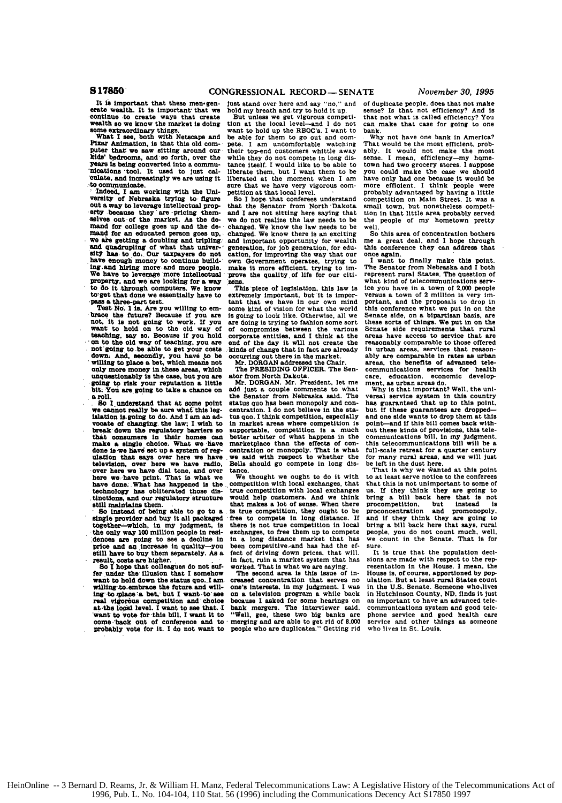kids' bedrooms, and so forth, over the while they do not compete in long dis-<br>years is being converted into a commu-<br>tance itself. I would like to be able to

erty because they are pricing them- and I are not sitting here saying that tion in that little area probably served<br>Selves out of the market. As the de- we do not realize the law needs to be the people of my hometown prett selves out of the market. As the de- we do not realize the law needs to be the mand for college goes up and the de- changed. We know the law needs to be well mand for an educated person goes up. changed. We know there is a mand for an educated person goes up. changed. We know there is an exciting So this area of concentration bothers we are getting a doubling and tripling: and important opportunity for wealth me a great deal, and I hope thro and quadruping of what that univer- generation for job generation for edu-<br>sity has to do. Our tarpayers do not cation, for inproving the way that our once again.<br>have enough money to continue build- own Government operate sity has to do. Our tarpayers do not cation, for improving the way that our once again.<br>have enough money to continue build- own Government operates, trying to I want to finally make this point.<br>have enough more proper and property, and we are looking for a way **sens,** what kind of telecommunications serv-to **do** it through computers. We know This piece of legislation, this law **is** ice you have in a town of **2.00** people

The brace the future? Because if you are is going to look like. Otherwise, all we Senate side, on a bipartisan basis, are brace the future? Because if you are is going to look like. Otherwise, all we Senate side, on a bipa not, it is not going to work. If you are doing is trying to fashion some sort these sorts of things. We put in on the example in the control of compromise between the various Senate side requirements that rural to hold on not going to be able to get your costs. kinds of change that in fact are already in urban areas, services that reason-<br>down. And, secondly, you have to be occurring out there in the market. ably are comparable in rates as unquestionably is the case, but you are ator from North Dakota. care, education. economic develop-<br>going to risk your reputation a little Mr. DORGAN. Mr. President, let me ment, as urban areas do.<br>but. You are going to tak

the vision over here we have radio, Bells should go compete in long dis- be left in the dust here. the vision over here we have radio, Bells should go compete in long dis- be left in the dust here. over here we have radio, tion the main our regulatory's tructure would help customers. And we think bring a bill back here that is the competition with local exchanges us. If they think they are going to tinctions, and our regulatory structure wou

together—which, in my judgment, is there is not true competition in local bring a bill back here that says, rural the only way 100 million people in rest- exchanges, to free that says, rural the only way 100 million people

fer under the illusion that I somehow The second area is this issue of in- House is, of course, apportioned by popmar to hold down the status quo. I am oreased count of hold down the status quo. I am oreased count will be probably vote for it. I do not want to

some extraordinary things.<br>
What I see, both with Netscape and be able for them to go out and com-<br>
What I see, both with Netscape and be able for them to go out and com-<br>
Plazar Animation, is that this old com-<br>
plazar an puter is and uncommon and whittle away ably. It would not make the most<br>while they do not compete in long dis-sense. I mean, efficiency—my home-<br>while they do not compete in long distance itself. I would like to be able to town had two grocery stores. I suppose liberate them, but I want them to be you could make the case we should liberated at the moment when I am have only had one because it would b The increasingly we are using it liberated at the moment when I am have only had one because it would be increasingly we are using it liberated at the moment when I am have only had one because it would be computed at the

changed. We know the law needs to be well.<br>changed. We know there is an exciting So this area of concentration bothers

**aroll.** the Senator from Nebraska said. The versal service system in this country Sc **I** understand that at some point status quo has been monopoly and con- has guaranteed that up to this point.<br>So **I** understand that up . So I understand that at some point status quo has been monopoly and con-has guaranteed that up to this point. We cannot really be sure what this leg- centration. I do not believe in the sta- but if these guarantees are specific or the law; I wish to in market areas where competition is point—and if this bill comes back with-<br>treak down the regulatory barriers so supportable, competition is a much out these kinds of provisions, this tele-

have done. What has happened is the competition with local exchanges, that that this is not unimportant to some of technology has obliterated those dis- true competition with local exchanges us. If they think they are goin still maintains them.<br>So instead of being able to go to a is true competition, they ought to be procompetition, but instead is<br>So instead of being able to go to a is true compete in long distance. If and if they think they price and an increase in quality-you been competitive-and has had the ef- sure.<br> **prices** and a fact of driving down prices, that will. It is true that the population deci-<br> **a** fact of driving down prices, that will. It i

willing.to.embrace the future and will- one's interests, in my judgment. I was in the U.S. Senate. Someone who,lives<br>ing to splace a bet, but I want to see on a television program a while back in Hutchinson County, ND, fin ing to place a bet, but I want-to see on a television program a while back in Hutchinson County, ND. finds it just<br>real vigoreous competition and choice because I asked for some hearings on as important to have an advanced at the local level. I want to see that. I bank mergers. The interviewer said, communications system and good tele-<br>want to vote for this bill. I want it to "Well, gee, these two big banks are phone service and good health want to vote for this bill. I want it to "Well, gee, these two big banks are phone service and good health care<br>come back out of conference and to merging and are able to get rid of 6,000 service and other things as someon merging and are able to get rid of 8.000 service and other the people who are duplicates." Getting rid who lives in St. Louis.

It is important that these men-gen-<br>
iust stand over here and say "no," and of duplicate people, does that not make<br>
erate wealth. It is important that we hold my breath and try to hold it up.<br>
sense? Is that not efficien

Indeed, I am working with the Uni-<br>
versity of Nebraska trying to figure<br>
versity of Nebraska trying to figure<br>
So I hope that conferees understand competition on Main Street. It was a<br>
out a way to leverage intellectual p

to do it through computers. We know This piece of legislation, this law is ice you have in a town of 2,000 people to age that done we essentially have to extremely important, but it is impor- versus a town of 2 million is only more money in these areas, which The PRESIDING OFFICER. The Sen- communications services for health unquestionably is the case, but you **are** ator from North Dakota. care, education, economic develop-

we thought we ought to do it with to at least serve notice to the conferees<br>competition with local exchanges, that that this is not unimportant to some of

result, costs are higher. we allow the second area in the second in the second in the second in the best of the result, one that is well as the second in the heaper that has signs are made with respect to the representatio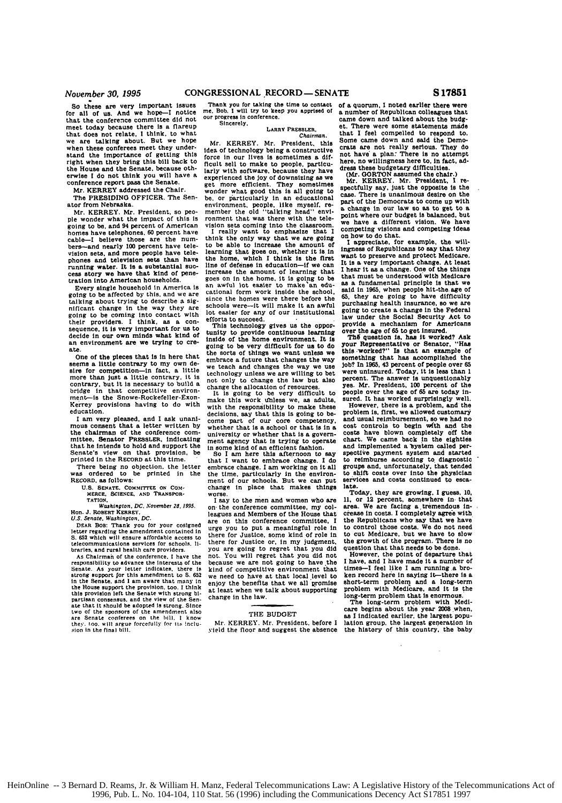So these are very important issues<br>for all of us. And we hope--I notice that the conference committee did not meet today because there is a flareup that does not relate. **I** think, to what we are talking about. But we hope when these conferees meet they understand the importance of getting this right when they bring this bill back to the House and the Senate. because otherwise **I** do not think you will have a conference report pass the Senate.

Mr. KERREY addressed the Chair.

The **PRESIDING** OFFICER. The Senator from Nebraska.

Mr. KERREY. Mr. President, so people wonder what the impact of this is going to **be.** and 94 percent of American homes have telephones. **60** percent have cable-I believe those are the numbers-and nearly **100** percent have television sets, and more people have tele-phones and television sets than have running water. It **is a** substantial suc-cess story we have that kind of penetration into American households.

Every single household in America is going to be affected **by** this, and **we** are talking about trying to describe a significant change in the way they are going to be coming into contact with their providers. I think, as a consequence. it is very important for us to decide in our own minds what kind of an environment are we trying to create.

One of the pieces that is in here that seems a little contrary to my own desire for competition-in fact. a little more than just a little contrary, **it** is contrary, but it is necessary to build a<br>bridge in that competitive environthat competitive ment-is the Snowe-Rockefeller-Exon-Kerrey provisions having to do with education.

I am very pleased, and **I** ask unani-mous consent that a letter written by the chairman of the conference committee. Senator PRESSLER. indicating that he intends to hold and support the Senate's view on that provision, be printed in the RECORD at this time.

There being no objection, the letter as ordered to be printed in the was ordered to b<br>RECORD, as follows:

U.S. **SENATE, COMMITTEE ON COMMERCE, SCIENCE, AND TRANSPOR-**<br> **TATION,** 

*Washington,* **DC.** *Novembe 28.* **1995.** Hin. **J. ROBERT** KERREY. *U.S.* **Senate.** *Washington.* **DC.**

U.S. Senate, Washington, DC.<br>
DEAR Bos: Thank you for your costgred<br>
letter regarding the amendment contained in<br>
S. 652 which will ensure affordable access to<br>
telecommunications services for schools. li-<br>
braries, and r

AS Chairman of the conference. **I** have the responsibility to advance the interests of the responsibility to advance the interests of the<br>Senate. As your letter indicates, there is<br>strong support for this amediance to S. 682<br>in the Senate, and 1 am aware that many in<br>the House support the provision, too. I thin

Thank you for taking the time **to** contact me, **Bob.** I will try to keep you apprised of our progress in conference. Sincerely.

#### **LARRY** PRESSLER, *Chairman.*

Mr. KERREY. Mr. President, this idea of technology being a constructive force in our lives is sometimes **a** dif-ficult sell to make to people, particularly with software, because they have experienced the **joy** of downsizing as we get more efficient. They sometimes wonder what good this is all going to be, or particularly in an educational<br>environment, people, like myself, re-<br>member the old "talking head" envi-<br>ronment that was there with the teleronment that was there with the tele-<br>vision sets coming into the classroom.

I really want to emphasize that I think the only way that we are going to be able to increase the amount of learning that goes on, whether it **is** In the home, which **I** think is the first line of defense in education-if we can increase the amount of learning that goes on in the home, it is going to be an awful lot easier to make'an edu-cational form work inside the school, since the homes were there before the since the homes were there before the<br>schools were--it will make it an awful lot easier for any **of** our institutional

efforts to succeed. This technology gives us the oppor-tunity to provide continuous learning Inside of the home environment. It is going **to** be very difficult for us to do the sorts of things we want unless we<br>embrace a future that changes the way embrace a future that changes the way we teach and changes the way we use technology unless we are willing to bet not only to change the law but also change the allocation of resources, It is going to **be** very difficult to

make this work unless we, as adults, with the responsibility to make these decisions, say that this is going to be-come part of our core competency, whether that is a school or that **is** in a university or whether that is a government agency that **is** trying to operate in some kind of an efficient fashion. So **I** am here this afternoon to say

that I want to embrace change. **I** do embrace change. I am working on it all the time, particularly in the environ-<br>ment of our schools. But we can put change in place that makes things<br>worse.

I say to the men and women who are on the conference committee, my colleagues and Members of the House that are on this conference committee, I urge you to put a meaningful role in there for Justice, some kind of role in there for Justice or, in my judgment. you are going to regret that you did not. You will regret that you did not because we are not going to have the kind of competitive environment that kind of competitive environment that<br>we need to have at that local level to enjoy the benefits that we all promise at least when we talk about supporting change in the law.

## THE **BUDGET**

Nr. KERREY. Mr. President, before I yield the floor and suggest the absence

of a quorum, **I** noted earlier there were a number of Republican colleagues that came down and talked about the budget. There were some statements made that **I** feel compelled to respond **to.** Some came down and **said** the Democrate are not really serious. They do not have' a plan: There is no attempt here, no willingness here **to,** In fact, ad-

dress these budgetary difficulties. (Mr. GORTON assumed the chair.) Mr. KERREY. **Mr.** President, **I** respectfully say, just the opposite **is** the case. There is unanimous desire on the part of the Democrats to come up with a change in our law so **as** to get to **a** point where our budget is balanced, but we have a different vision. We have competing visions and competing ideas on **how** to do that. **I** appreciate, for example, the will-

Ingness of Republicans to say that they want to preserve and protect Medicare. It **is** a very important change. At least I hear it as a change. One of the things<br>that must be understood with Medicare as a fundamental principle is that we said in **1965,** when people hit-the. age of **65,** they are going to have difficulty purchasing health insurance, so we are going to create **a** change in the Federal law under the Social Security Act to provide a mechanism for Americans

over the age of **65** to get insured. The question Is, has it worked? **Ask** your Representative or Senator, "Has this -worked?" Is that an example of something that has accomplished the job? In **1965,** 43 percent of people over **65** were uninsured. Today, it **is** less than **1** percent. The answer is unquestionably yes. Mr. President, **100** percent of the people over the age of **65** are today insured. It has worked surprisingly well.<br>However, there is a problem, and the

problem **is,** first, we allowed customary and usual reimbursement, so we **had** no cost controls to begin with and the costs have blown completely **off** the chart. We came back in the eighties and implemented a System called perspective payment system and started to reimburse according to diagnostic groups and, unfortunately, that tended to shift costs over into the physician services and costs continued to escalate.

Today, they are growing, I guess **11,** or 12 percent, somewhere **In.** that area. We are facing a tremendous increase in costs. I completely agree with the Republicans who say that we have to control those costs. We do not need to cut Medicare. but we have to slow the growth of the program. There **is** no question that that needs to be done.

However, the point of departure that **<sup>I</sup>**have, and I have made it a number of times--I feel like I am running **a** broken record here in saying it-there is a<br>
short-term problem and a long-term<br>
problem with Medicare, and it is the<br>
long-term problem that is snormous.<br>
The long-term problem with Medi-

The long-term problem with Medi-<br>care begins about the year 2008 when. as **I** indicated earlier, the largest population group, the largest generation in the history of this country, the baby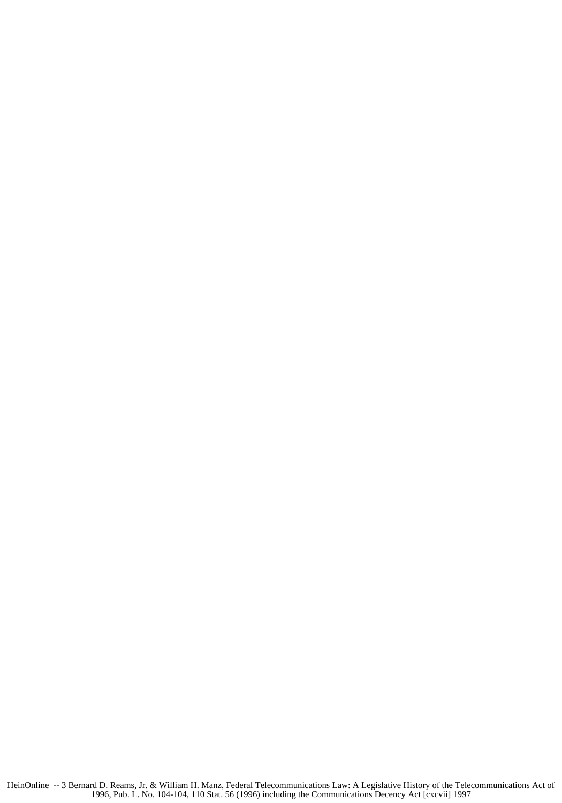HeinOnline -- 3 Bernard D. Reams, Jr. & William H. Manz, Federal Telecommunications Law: A Legislative History of the Telecommunications Act of 1996, Pub. L. No. 104-104, 110 Stat. 56 (1996) including the Communications Decency Act [cxcvii] 1997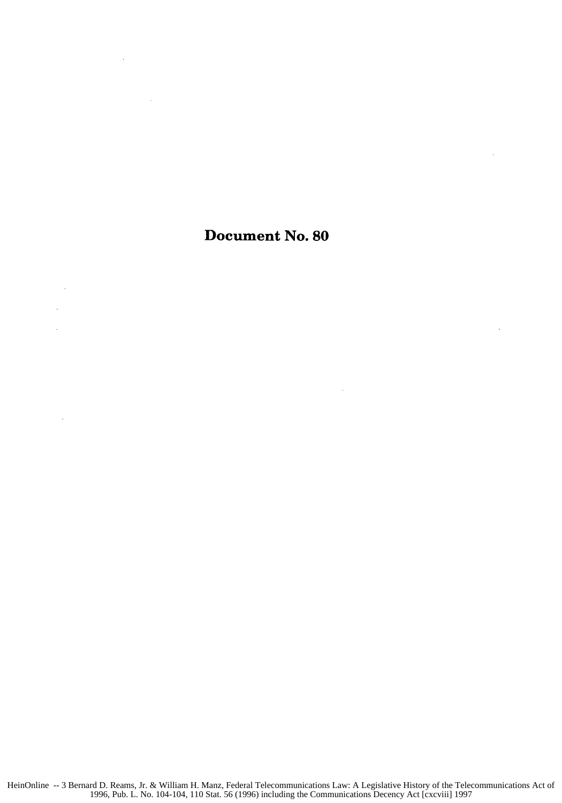Document No. **80**

 $\sim$   $\sim$ 

 $\bar{z}$ 

L.

 $\ddot{\phantom{a}}$ 

 $\sim$   $\sim$  $\sim$  $\bar{\gamma}$ 

 $\sim$ 

 $\bar{\alpha}$